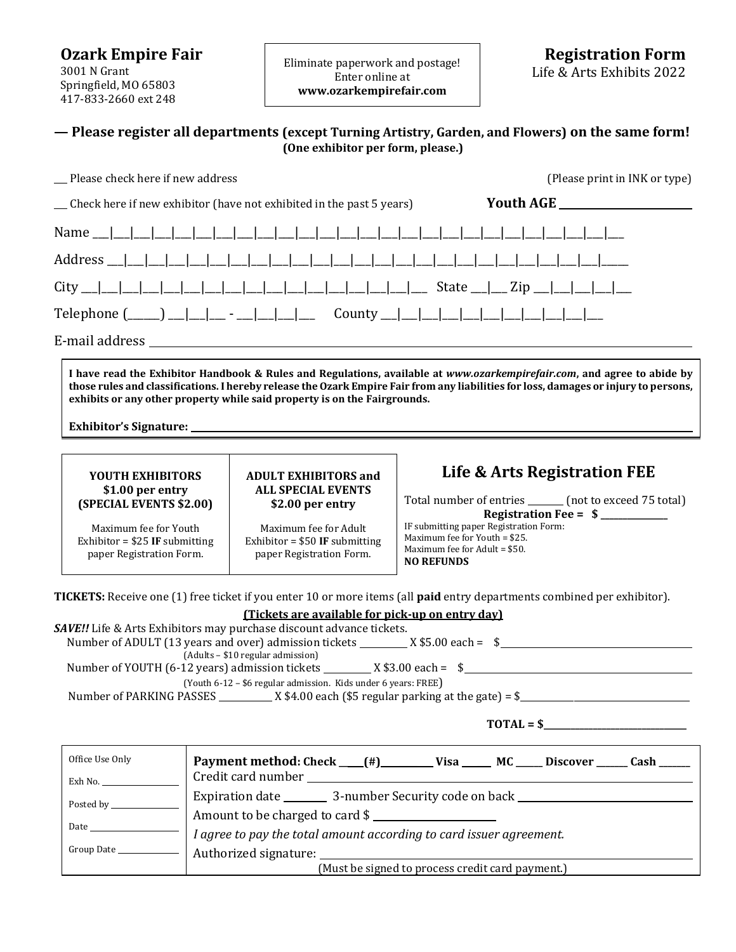**Ozark Empire Fair** 3001 N Grant Springfield, MO 65803 417-833-2660 ext 248

Eliminate paperwork and postage! Enter online at **www.ozarkempirefair.com**

## **— Please register all departments (except Turning Artistry, Garden, and Flowers) on the same form! (One exhibitor per form, please.)**

| Please check here if new address                                                                                                                                                                                                                                                                                                                                | (Please print in INK or type)                                                                                                                                                                                                                                |  |  |  |  |  |  |  |
|-----------------------------------------------------------------------------------------------------------------------------------------------------------------------------------------------------------------------------------------------------------------------------------------------------------------------------------------------------------------|--------------------------------------------------------------------------------------------------------------------------------------------------------------------------------------------------------------------------------------------------------------|--|--|--|--|--|--|--|
| _ Check here if new exhibitor (have not exhibited in the past 5 years)                                                                                                                                                                                                                                                                                          | <b>Youth AGE</b>                                                                                                                                                                                                                                             |  |  |  |  |  |  |  |
|                                                                                                                                                                                                                                                                                                                                                                 |                                                                                                                                                                                                                                                              |  |  |  |  |  |  |  |
|                                                                                                                                                                                                                                                                                                                                                                 |                                                                                                                                                                                                                                                              |  |  |  |  |  |  |  |
| $City$ $\Box$                                                                                                                                                                                                                                                                                                                                                   |                                                                                                                                                                                                                                                              |  |  |  |  |  |  |  |
|                                                                                                                                                                                                                                                                                                                                                                 |                                                                                                                                                                                                                                                              |  |  |  |  |  |  |  |
| E-mail address and the set of the set of the set of the set of the set of the set of the set of the set of the                                                                                                                                                                                                                                                  |                                                                                                                                                                                                                                                              |  |  |  |  |  |  |  |
| I have read the Exhibitor Handbook & Rules and Regulations, available at www.ozarkempirefair.com, and agree to abide by<br>those rules and classifications. I hereby release the Ozark Empire Fair from any liabilities for loss, damages or injury to persons,<br>exhibits or any other property while said property is on the Fairgrounds.                    |                                                                                                                                                                                                                                                              |  |  |  |  |  |  |  |
| <b>YOUTH EXHIBITORS</b><br><b>ADULT EXHIBITORS and</b><br><b>ALL SPECIAL EVENTS</b><br>\$1.00 per entry<br>(SPECIAL EVENTS \$2.00)<br>\$2.00 per entry<br>Maximum fee for Youth<br>Maximum fee for Adult<br>Exhibitor = $$25$ IF submitting<br>Exhibitor = $$50$ IF submitting<br>paper Registration Form.<br>paper Registration Form.                          | Life & Arts Registration FEE<br>Total number of entries ______ (not to exceed 75 total)<br>Registration Fee = $$$ _________<br>IF submitting paper Registration Form:<br>Maximum fee for Youth = \$25.<br>Maximum fee for Adult = \$50.<br><b>NO REFUNDS</b> |  |  |  |  |  |  |  |
| <b>TICKETS:</b> Receive one (1) free ticket if you enter 10 or more items (all <b>paid</b> entry departments combined per exhibitor).<br>(Tickets are available for pick-up on entry day)<br><b>SAVE!!</b> Life & Arts Exhibitors may purchase discount advance tickets.<br>Number of ADULT (13 years and over) admission tickets __________ X \$5.00 each = \$ |                                                                                                                                                                                                                                                              |  |  |  |  |  |  |  |

| Tulilloci ol Albolli TL9 Vedis dhu over Faulillission tickets<br>$\Lambda$ 99.00 Cacii – |  |  |  |  |  |
|------------------------------------------------------------------------------------------|--|--|--|--|--|
| (Adults – \$10 regular admission)                                                        |  |  |  |  |  |
| Number of YOUTH (6-12 years) admission tickets<br>X \$3.00 each =                        |  |  |  |  |  |
| (Youth 6-12 – \$6 regular admission. Kids under 6 years: FREE)                           |  |  |  |  |  |
| $\_$ X \$4.00 each (\$5 regular parking at the gate) = \$<br>Number of PARKING PASSES    |  |  |  |  |  |
|                                                                                          |  |  |  |  |  |

| TOTAL = |  |  |  |  |  |
|---------|--|--|--|--|--|
|---------|--|--|--|--|--|

| Office Use Only          | Payment method: Check __(#)_________ Visa ______ MC _____ Discover ______ Cash ______ |  |  |
|--------------------------|---------------------------------------------------------------------------------------|--|--|
| Exh No.                  |                                                                                       |  |  |
|                          |                                                                                       |  |  |
|                          | Amount to be charged to card \$                                                       |  |  |
| Date                     | I agree to pay the total amount according to card issuer agreement.                   |  |  |
| Group Date _____________ | Authorized signature: Authorized Signature:                                           |  |  |
|                          | (Must be signed to process credit card payment.)                                      |  |  |